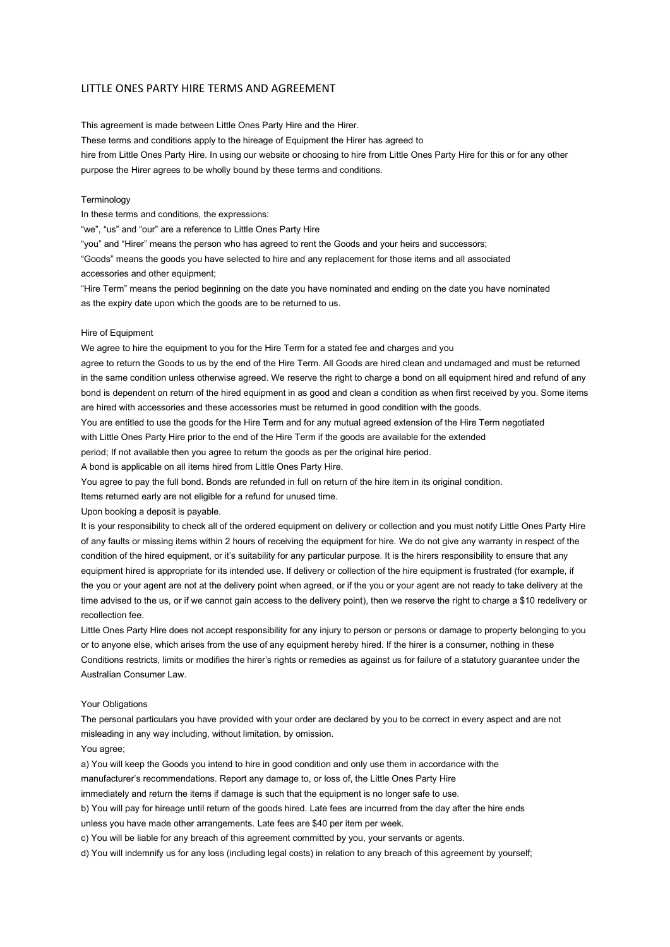# LITTLE ONES PARTY HIRE TERMS AND AGREEMENT

This agreement is made between Little Ones Party Hire and the Hirer.

These terms and conditions apply to the hireage of Equipment the Hirer has agreed to

hire from Little Ones Party Hire. In using our website or choosing to hire from Little Ones Party Hire for this or for any other purpose the Hirer agrees to be wholly bound by these terms and conditions.

# **Terminology**

In these terms and conditions, the expressions:

"we", "us" and "our" are a reference to Little Ones Party Hire

"you" and "Hirer" means the person who has agreed to rent the Goods and your heirs and successors;

"Goods" means the goods you have selected to hire and any replacement for those items and all associated accessories and other equipment;

"Hire Term" means the period beginning on the date you have nominated and ending on the date you have nominated as the expiry date upon which the goods are to be returned to us.

# Hire of Equipment

We agree to hire the equipment to you for the Hire Term for a stated fee and charges and you

agree to return the Goods to us by the end of the Hire Term. All Goods are hired clean and undamaged and must be returned in the same condition unless otherwise agreed. We reserve the right to charge a bond on all equipment hired and refund of any bond is dependent on return of the hired equipment in as good and clean a condition as when first received by you. Some items are hired with accessories and these accessories must be returned in good condition with the goods.

You are entitled to use the goods for the Hire Term and for any mutual agreed extension of the Hire Term negotiated

with Little Ones Party Hire prior to the end of the Hire Term if the goods are available for the extended

period; If not available then you agree to return the goods as per the original hire period.

A bond is applicable on all items hired from Little Ones Party Hire.

You agree to pay the full bond. Bonds are refunded in full on return of the hire item in its original condition.

Items returned early are not eligible for a refund for unused time.

Upon booking a deposit is payable.

It is your responsibility to check all of the ordered equipment on delivery or collection and you must notify Little Ones Party Hire of any faults or missing items within 2 hours of receiving the equipment for hire. We do not give any warranty in respect of the condition of the hired equipment, or it's suitability for any particular purpose. It is the hirers responsibility to ensure that any equipment hired is appropriate for its intended use. If delivery or collection of the hire equipment is frustrated (for example, if the you or your agent are not at the delivery point when agreed, or if the you or your agent are not ready to take delivery at the time advised to the us, or if we cannot gain access to the delivery point), then we reserve the right to charge a \$10 redelivery or recollection fee.

Little Ones Party Hire does not accept responsibility for any injury to person or persons or damage to property belonging to you or to anyone else, which arises from the use of any equipment hereby hired. If the hirer is a consumer, nothing in these Conditions restricts, limits or modifies the hirer's rights or remedies as against us for failure of a statutory guarantee under the Australian Consumer Law.

### Your Obligations

The personal particulars you have provided with your order are declared by you to be correct in every aspect and are not misleading in any way including, without limitation, by omission.

# You agree;

a) You will keep the Goods you intend to hire in good condition and only use them in accordance with the manufacturer's recommendations. Report any damage to, or loss of, the Little Ones Party Hire

immediately and return the items if damage is such that the equipment is no longer safe to use.

b) You will pay for hireage until return of the goods hired. Late fees are incurred from the day after the hire ends

unless you have made other arrangements. Late fees are \$40 per item per week.

c) You will be liable for any breach of this agreement committed by you, your servants or agents.

d) You will indemnify us for any loss (including legal costs) in relation to any breach of this agreement by yourself;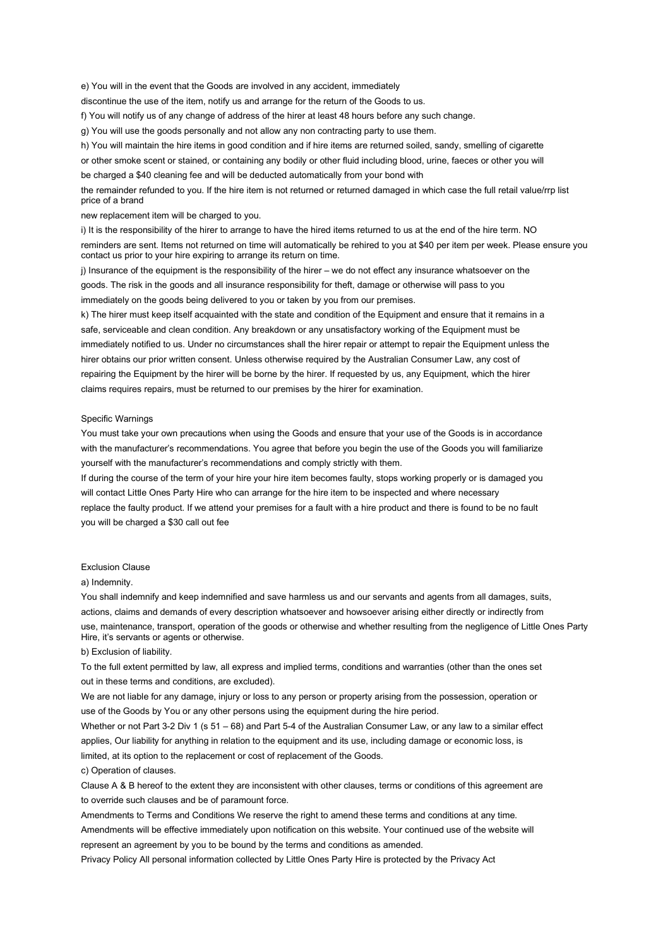e) You will in the event that the Goods are involved in any accident, immediately

discontinue the use of the item, notify us and arrange for the return of the Goods to us.

f) You will notify us of any change of address of the hirer at least 48 hours before any such change.

g) You will use the goods personally and not allow any non contracting party to use them.

h) You will maintain the hire items in good condition and if hire items are returned soiled, sandy, smelling of cigarette or other smoke scent or stained, or containing any bodily or other fluid including blood, urine, faeces or other you will be charged a \$40 cleaning fee and will be deducted automatically from your bond with the remainder refunded to you. If the hire item is not returned or returned damaged in which case the full retail value/rrp list

price of a brand

new replacement item will be charged to you.

i) It is the responsibility of the hirer to arrange to have the hired items returned to us at the end of the hire term. NO reminders are sent. Items not returned on time will automatically be rehired to you at \$40 per item per week. Please ensure you contact us prior to your hire expiring to arrange its return on time.

j) Insurance of the equipment is the responsibility of the hirer – we do not effect any insurance whatsoever on the goods. The risk in the goods and all insurance responsibility for theft, damage or otherwise will pass to you immediately on the goods being delivered to you or taken by you from our premises.

k) The hirer must keep itself acquainted with the state and condition of the Equipment and ensure that it remains in a safe, serviceable and clean condition. Any breakdown or any unsatisfactory working of the Equipment must be immediately notified to us. Under no circumstances shall the hirer repair or attempt to repair the Equipment unless the hirer obtains our prior written consent. Unless otherwise required by the Australian Consumer Law, any cost of repairing the Equipment by the hirer will be borne by the hirer. If requested by us, any Equipment, which the hirer claims requires repairs, must be returned to our premises by the hirer for examination.

# Specific Warnings

You must take your own precautions when using the Goods and ensure that your use of the Goods is in accordance with the manufacturer's recommendations. You agree that before you begin the use of the Goods you will familiarize yourself with the manufacturer's recommendations and comply strictly with them.

If during the course of the term of your hire your hire item becomes faulty, stops working properly or is damaged you will contact Little Ones Party Hire who can arrange for the hire item to be inspected and where necessary replace the faulty product. If we attend your premises for a fault with a hire product and there is found to be no fault you will be charged a \$30 call out fee

#### Exclusion Clause

# a) Indemnity.

You shall indemnify and keep indemnified and save harmless us and our servants and agents from all damages, suits, actions, claims and demands of every description whatsoever and howsoever arising either directly or indirectly from use, maintenance, transport, operation of the goods or otherwise and whether resulting from the negligence of Little Ones Party Hire, it's servants or agents or otherwise.

#### b) Exclusion of liability.

To the full extent permitted by law, all express and implied terms, conditions and warranties (other than the ones set out in these terms and conditions, are excluded).

We are not liable for any damage, injury or loss to any person or property arising from the possession, operation or use of the Goods by You or any other persons using the equipment during the hire period.

Whether or not Part 3-2 Div 1 (s 51 – 68) and Part 5-4 of the Australian Consumer Law, or any law to a similar effect applies, Our liability for anything in relation to the equipment and its use, including damage or economic loss, is limited, at its option to the replacement or cost of replacement of the Goods.

# c) Operation of clauses.

Clause A & B hereof to the extent they are inconsistent with other clauses, terms or conditions of this agreement are to override such clauses and be of paramount force.

Amendments to Terms and Conditions We reserve the right to amend these terms and conditions at any time. Amendments will be effective immediately upon notification on this website. Your continued use of the website will represent an agreement by you to be bound by the terms and conditions as amended.

Privacy Policy All personal information collected by Little Ones Party Hire is protected by the Privacy Act